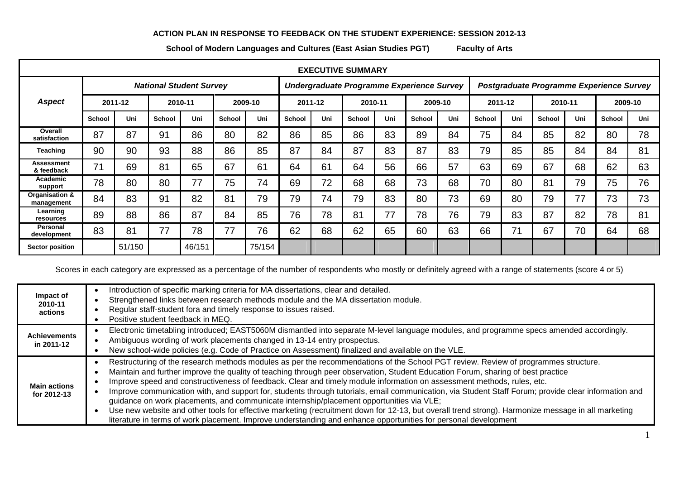## **ACTION PLAN IN RESPONSE TO FEEDBACK ON THE STUDENT EXPERIENCE: SESSION 2012-13**

**School of Modern Languages and Cultures (East Asian Studies PGT) Faculty of Arts**

| <b>EXECUTIVE SUMMARY</b>        |                                |        |               |        |               |                                           |               |     |               |     |                                          |     |               |     |               |     |               |     |
|---------------------------------|--------------------------------|--------|---------------|--------|---------------|-------------------------------------------|---------------|-----|---------------|-----|------------------------------------------|-----|---------------|-----|---------------|-----|---------------|-----|
|                                 | <b>National Student Survey</b> |        |               |        |               | Undergraduate Programme Experience Survey |               |     |               |     | Postgraduate Programme Experience Survey |     |               |     |               |     |               |     |
| <b>Aspect</b>                   | 2011-12                        |        | 2010-11       |        | 2009-10       |                                           | 2011-12       |     | 2010-11       |     | 2009-10                                  |     | 2011-12       |     | 2010-11       |     | 2009-10       |     |
|                                 | <b>School</b>                  | Uni    | <b>School</b> | Uni    | <b>School</b> | Uni                                       | <b>School</b> | Uni | <b>School</b> | Uni | <b>School</b>                            | Uni | <b>School</b> | Uni | <b>School</b> | Uni | <b>School</b> | Uni |
| Overall<br>satisfaction         | 87                             | 87     | 91            | 86     | 80            | 82                                        | 86            | 85  | 86            | 83  | 89                                       | 84  | 75            | 84  | 85            | 82  | 80            | 78  |
| Teaching                        | 90                             | 90     | 93            | 88     | 86            | 85                                        | 87            | 84  | 87            | 83  | 87                                       | 83  | 79            | 85  | 85            | 84  | 84            | 81  |
| <b>Assessment</b><br>& feedback | 71                             | 69     | 81            | 65     | 67            | 61                                        | 64            | 61  | 64            | 56  | 66                                       | 57  | 63            | 69  | 67            | 68  | 62            | 63  |
| <b>Academic</b><br>support      | 78                             | 80     | 80            | 77     | 75            | 74                                        | 69            | 72  | 68            | 68  | 73                                       | 68  | 70            | 80  | 81            | 79  | 75            | 76  |
| Organisation &<br>management    | 84                             | 83     | 91            | 82     | 81            | 79                                        | 79            | 74  | 79            | 83  | 80                                       | 73  | 69            | 80  | 79            | 77  | 73            | 73  |
| Learning<br>resources           | 89                             | 88     | 86            | 87     | 84            | 85                                        | 76            | 78  | 81            | 77  | 78                                       | 76  | 79            | 83  | 87            | 82  | 78            | 81  |
| Personal<br>development         | 83                             | 81     | 77            | 78     | 77            | 76                                        | 62            | 68  | 62            | 65  | 60                                       | 63  | 66            | 71  | 67            | 70  | 64            | 68  |
| Sector position                 |                                | 51/150 |               | 46/151 |               | 75/154                                    |               |     |               |     |                                          |     |               |     |               |     |               |     |

Scores in each category are expressed as a percentage of the number of respondents who mostly or definitely agreed with a range of statements (score 4 or 5)

| Impact of<br>2010-11<br>actions    | Introduction of specific marking criteria for MA dissertations, clear and detailed.<br>Strengthened links between research methods module and the MA dissertation module.<br>Regular staff-student fora and timely response to issues raised.<br>Positive student feedback in MEQ.                                                                                                                                                                                                                                                                                                                                                                                                                                                                                                                                                                                                                                            |
|------------------------------------|-------------------------------------------------------------------------------------------------------------------------------------------------------------------------------------------------------------------------------------------------------------------------------------------------------------------------------------------------------------------------------------------------------------------------------------------------------------------------------------------------------------------------------------------------------------------------------------------------------------------------------------------------------------------------------------------------------------------------------------------------------------------------------------------------------------------------------------------------------------------------------------------------------------------------------|
| <b>Achievements</b><br>in 2011-12  | Electronic timetabling introduced; EAST5060M dismantled into separate M-level language modules, and programme specs amended accordingly.<br>Ambiguous wording of work placements changed in 13-14 entry prospectus.<br>New school-wide policies (e.g. Code of Practice on Assessment) finalized and available on the VLE.                                                                                                                                                                                                                                                                                                                                                                                                                                                                                                                                                                                                     |
| <b>Main actions</b><br>for 2012-13 | Restructuring of the research methods modules as per the recommendations of the School PGT review. Review of programmes structure.<br>Maintain and further improve the quality of teaching through peer observation, Student Education Forum, sharing of best practice<br>Improve speed and constructiveness of feedback. Clear and timely module information on assessment methods, rules, etc.<br>Improve communication with, and support for, students through tutorials, email communication, via Student Staff Forum; provide clear information and<br>guidance on work placements, and communicate internship/placement opportunities via VLE;<br>Use new website and other tools for effective marketing (recruitment down for 12-13, but overall trend strong). Harmonize message in all marketing<br>literature in terms of work placement. Improve understanding and enhance opportunities for personal development |